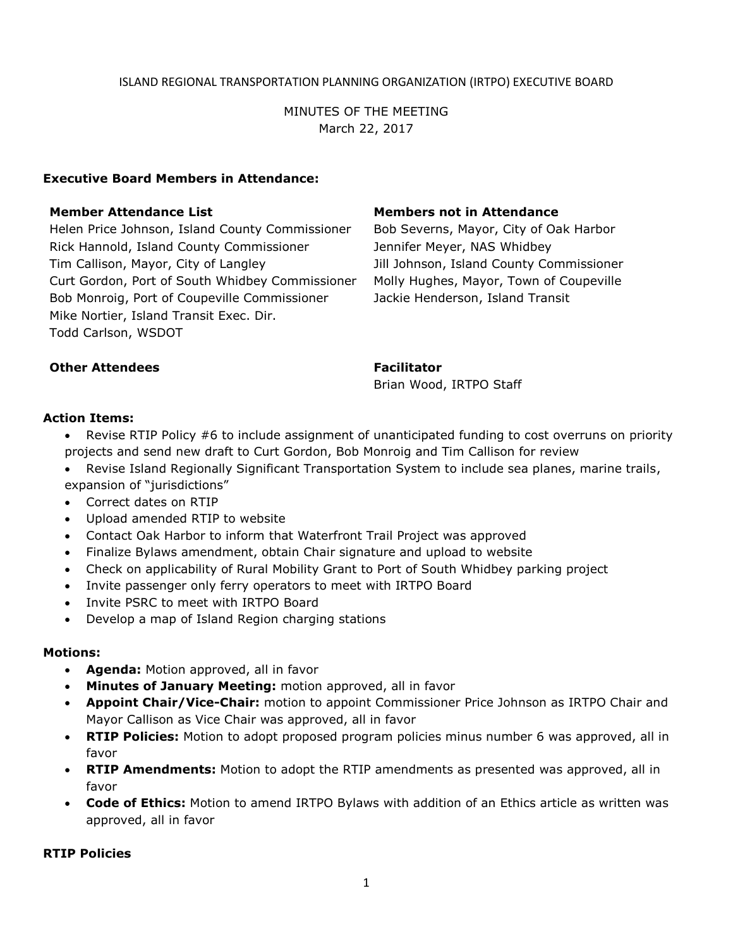## ISLAND REGIONAL TRANSPORTATION PLANNING ORGANIZATION (IRTPO) EXECUTIVE BOARD

MINUTES OF THE MEETING March 22, 2017

## **Executive Board Members in Attendance:**

Helen Price Johnson, Island County Commissioner Bob Severns, Mayor, City of Oak Harbor Rick Hannold, Island County Commissioner Jennifer Meyer, NAS Whidbey Tim Callison, Mayor, City of Langley The Muslim Jill Johnson, Island County Commissioner Curt Gordon, Port of South Whidbey Commissioner Molly Hughes, Mayor, Town of Coupeville Bob Monroig, Port of Coupeville Commissioner Jackie Henderson, Island Transit Mike Nortier, Island Transit Exec. Dir. Todd Carlson, WSDOT

### **Member Attendance List Members not in Attendance**

### **Other Attendees Facilitator**

Brian Wood, IRTPO Staff

#### **Action Items:**

- Revise RTIP Policy #6 to include assignment of unanticipated funding to cost overruns on priority projects and send new draft to Curt Gordon, Bob Monroig and Tim Callison for review
- Revise Island Regionally Significant Transportation System to include sea planes, marine trails, expansion of "jurisdictions"
- Correct dates on RTIP
- Upload amended RTIP to website
- Contact Oak Harbor to inform that Waterfront Trail Project was approved
- Finalize Bylaws amendment, obtain Chair signature and upload to website
- Check on applicability of Rural Mobility Grant to Port of South Whidbey parking project
- Invite passenger only ferry operators to meet with IRTPO Board
- Invite PSRC to meet with IRTPO Board
- Develop a map of Island Region charging stations

#### **Motions:**

- **Agenda:** Motion approved, all in favor
- **Minutes of January Meeting:** motion approved, all in favor
- **Appoint Chair/Vice-Chair:** motion to appoint Commissioner Price Johnson as IRTPO Chair and Mayor Callison as Vice Chair was approved, all in favor
- **RTIP Policies:** Motion to adopt proposed program policies minus number 6 was approved, all in favor
- **RTIP Amendments:** Motion to adopt the RTIP amendments as presented was approved, all in favor
- **Code of Ethics:** Motion to amend IRTPO Bylaws with addition of an Ethics article as written was approved, all in favor

#### **RTIP Policies**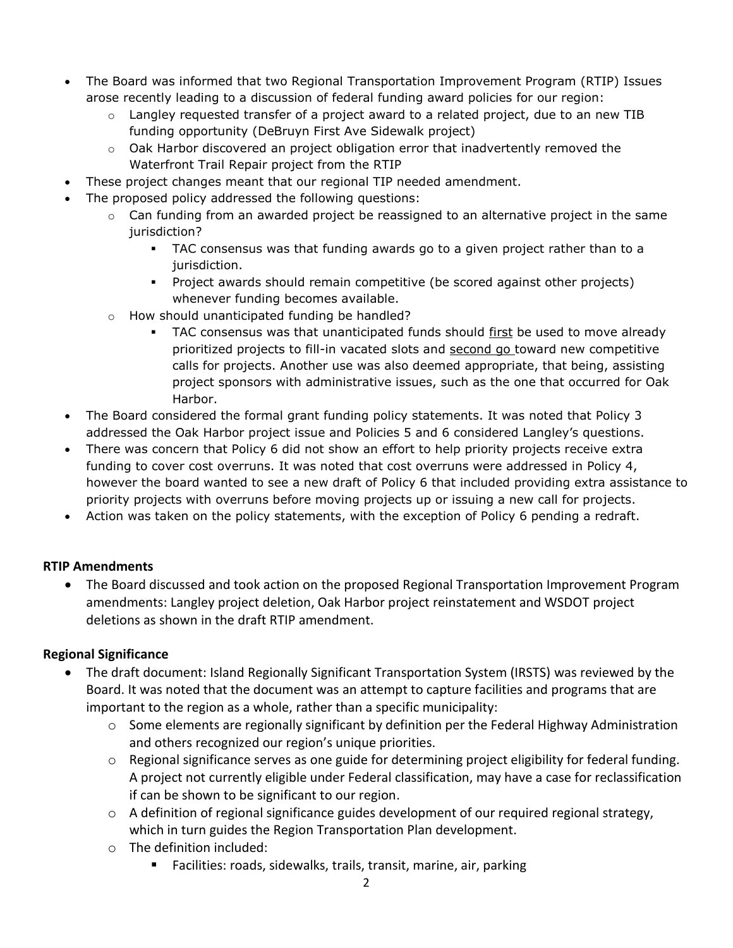- The Board was informed that two Regional Transportation Improvement Program (RTIP) Issues arose recently leading to a discussion of federal funding award policies for our region:
	- $\circ$  Langley requested transfer of a project award to a related project, due to an new TIB funding opportunity (DeBruyn First Ave Sidewalk project)
	- $\circ$  Oak Harbor discovered an project obligation error that inadvertently removed the Waterfront Trail Repair project from the RTIP
- These project changes meant that our regional TIP needed amendment.
- The proposed policy addressed the following questions:
	- $\circ$  Can funding from an awarded project be reassigned to an alternative project in the same jurisdiction?
		- TAC consensus was that funding awards go to a given project rather than to a jurisdiction.
		- Project awards should remain competitive (be scored against other projects) whenever funding becomes available.
	- o How should unanticipated funding be handled?
		- TAC consensus was that unanticipated funds should first be used to move already prioritized projects to fill-in vacated slots and second go toward new competitive calls for projects. Another use was also deemed appropriate, that being, assisting project sponsors with administrative issues, such as the one that occurred for Oak Harbor.
- The Board considered the formal grant funding policy statements. It was noted that Policy 3 addressed the Oak Harbor project issue and Policies 5 and 6 considered Langley's questions.
- There was concern that Policy 6 did not show an effort to help priority projects receive extra funding to cover cost overruns. It was noted that cost overruns were addressed in Policy 4, however the board wanted to see a new draft of Policy 6 that included providing extra assistance to priority projects with overruns before moving projects up or issuing a new call for projects.
- Action was taken on the policy statements, with the exception of Policy 6 pending a redraft.

# **RTIP Amendments**

 The Board discussed and took action on the proposed Regional Transportation Improvement Program amendments: Langley project deletion, Oak Harbor project reinstatement and WSDOT project deletions as shown in the draft RTIP amendment.

# **Regional Significance**

- The draft document: Island Regionally Significant Transportation System (IRSTS) was reviewed by the Board. It was noted that the document was an attempt to capture facilities and programs that are important to the region as a whole, rather than a specific municipality:
	- $\circ$  Some elements are regionally significant by definition per the Federal Highway Administration and others recognized our region's unique priorities.
	- $\circ$  Regional significance serves as one guide for determining project eligibility for federal funding. A project not currently eligible under Federal classification, may have a case for reclassification if can be shown to be significant to our region.
	- $\circ$  A definition of regional significance guides development of our required regional strategy, which in turn guides the Region Transportation Plan development.
	- o The definition included:
		- Facilities: roads, sidewalks, trails, transit, marine, air, parking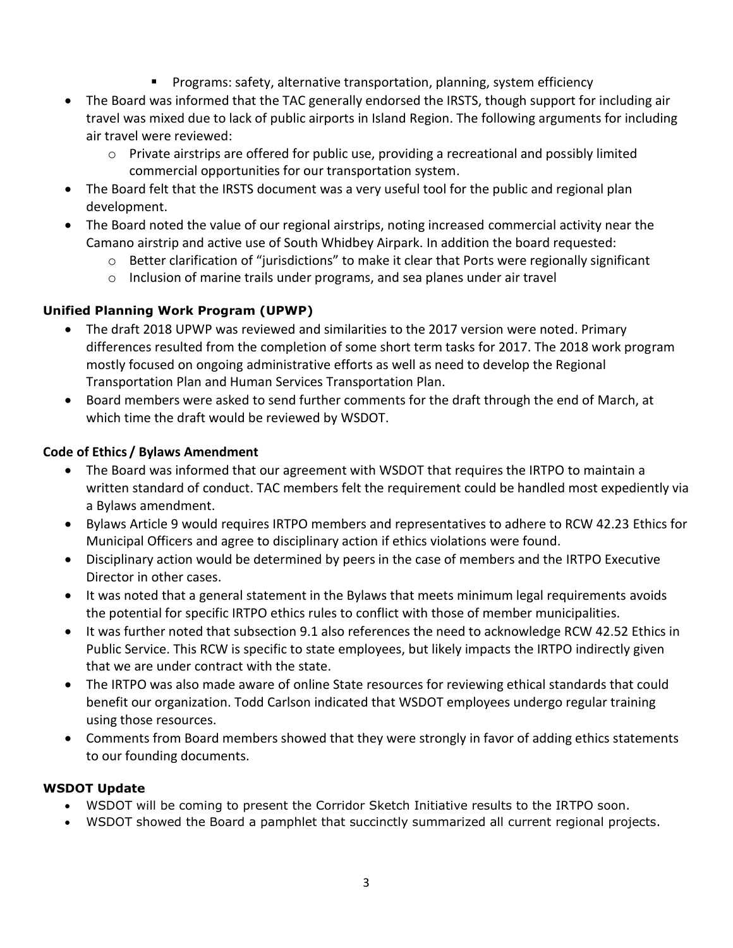- **Programs: safety, alternative transportation, planning, system efficiency**
- The Board was informed that the TAC generally endorsed the IRSTS, though support for including air travel was mixed due to lack of public airports in Island Region. The following arguments for including air travel were reviewed:
	- $\circ$  Private airstrips are offered for public use, providing a recreational and possibly limited commercial opportunities for our transportation system.
- The Board felt that the IRSTS document was a very useful tool for the public and regional plan development.
- The Board noted the value of our regional airstrips, noting increased commercial activity near the Camano airstrip and active use of South Whidbey Airpark. In addition the board requested:
	- o Better clarification of "jurisdictions" to make it clear that Ports were regionally significant
	- $\circ$  Inclusion of marine trails under programs, and sea planes under air travel

# **Unified Planning Work Program (UPWP)**

- The draft 2018 UPWP was reviewed and similarities to the 2017 version were noted. Primary differences resulted from the completion of some short term tasks for 2017. The 2018 work program mostly focused on ongoing administrative efforts as well as need to develop the Regional Transportation Plan and Human Services Transportation Plan.
- Board members were asked to send further comments for the draft through the end of March, at which time the draft would be reviewed by WSDOT.

# **Code of Ethics / Bylaws Amendment**

- The Board was informed that our agreement with WSDOT that requires the IRTPO to maintain a written standard of conduct. TAC members felt the requirement could be handled most expediently via a Bylaws amendment.
- Bylaws Article 9 would requires IRTPO members and representatives to adhere to RCW 42.23 Ethics for Municipal Officers and agree to disciplinary action if ethics violations were found.
- Disciplinary action would be determined by peers in the case of members and the IRTPO Executive Director in other cases.
- It was noted that a general statement in the Bylaws that meets minimum legal requirements avoids the potential for specific IRTPO ethics rules to conflict with those of member municipalities.
- It was further noted that subsection 9.1 also references the need to acknowledge RCW 42.52 Ethics in Public Service. This RCW is specific to state employees, but likely impacts the IRTPO indirectly given that we are under contract with the state.
- The IRTPO was also made aware of online State resources for reviewing ethical standards that could benefit our organization. Todd Carlson indicated that WSDOT employees undergo regular training using those resources.
- Comments from Board members showed that they were strongly in favor of adding ethics statements to our founding documents.

# **WSDOT Update**

- WSDOT will be coming to present the Corridor Sketch Initiative results to the IRTPO soon.
- WSDOT showed the Board a pamphlet that succinctly summarized all current regional projects.